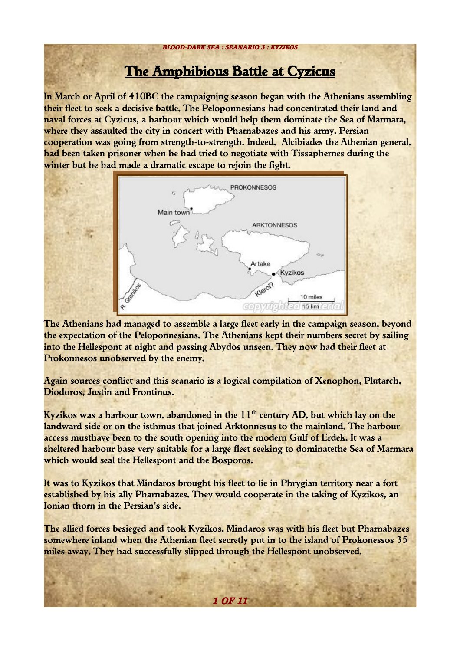# The Amphibious Battle at Cyzicus

In March or April of 410BC the campaigning season began with the Athenians assembling their fleet to seek a decisive battle. The Peloponnesians had concentrated their land and naval forces at Cyzicus, a harbour which would help them dominate the Sea of Marmara, where they assaulted the city in concert with Pharnabazes and his army. Persian cooperation was going from strength-to-strength. Indeed, Alcibiades the Athenian general, had been taken prisoner when he had tried to negotiate with Tissaphernes during the winter but he had made a dramatic escape to rejoin the fight.



The Athenians had managed to assemble a large fleet early in the campaign season, beyond the expectation of the Peloponnesians. The Athenians kept their numbers secret by sailing into the Hellespont at night and passing Abydos unseen. They now had their fleet at Prokonnesos unobserved by the enemy.

Again sources conflict and this seanario is a logical compilation of Xenophon, Plutarch, Diodoros, Justin and Frontinus.

Kyzikos was a harbour town, abandoned in the  $11<sup>th</sup>$  century AD, but which lay on the landward side or on the isthmus that joined Arktonnesus to the mainland. The harbour access musthave been to the south opening into the modern Gulf of Erdek. It was a sheltered harbour base very suitable for a large fleet seeking to dominatethe Sea of Marmara which would seal the Hellespont and the Bosporos.

It was to Kyzikos that Mindaros brought his fleet to lie in Phrygian territory near a fort established by his ally Pharnabazes. They would cooperate in the taking of Kyzikos, an Ionian thorn in the Persian's side.

The allied forces besieged and took Kyzikos. Mindaros was with his fleet but Pharnabazes somewhere inland when the Athenian fleet secretly put in to the island of Prokonessos 35 miles away. They had successfully slipped through the Hellespont unobserved.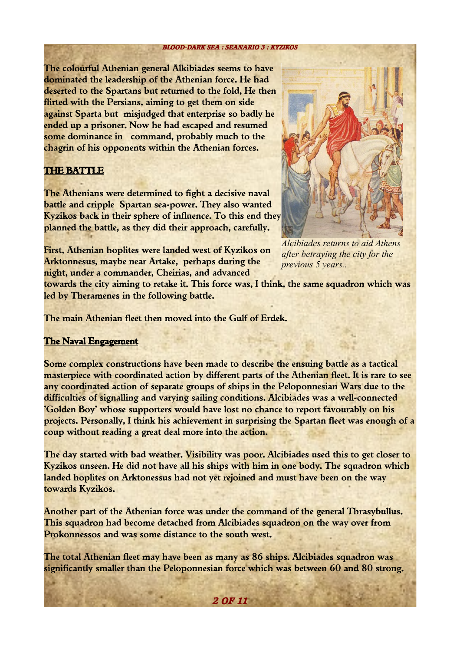#### **BLOOD-DARK SEA : SEANARIO 3 : KYZIKOS**

The colourful Athenian general Alkibiades seems to have dominated the leadership of the Athenian force. He had deserted to the Spartans but returned to the fold, He then flirted with the Persians, aiming to get them on side against Sparta but misjudged that enterprise so badly he ended up a prisoner. Now he had escaped and resumed some dominance in command, probably much to the chagrin of his opponents within the Athenian forces.

# THE BATTLE

The Athenians were determined to fight a decisive naval battle and cripple Spartan sea-power. They also wanted Kyzikos back in their sphere of influence. To this end they planned the battle, as they did their approach, carefully.

First, Athenian hoplites were landed west of Kyzikos on Arktonnesus, maybe near Artake, perhaps during the night, under a commander, Cheirias, and advanced



*Alcibiades returns to aid Athens after betraying the city for the previous 5 years..*

towards the city aiming to retake it. This force was, I think, the same squadron which was led by Theramenes in the following battle.

The main Athenian fleet then moved into the Gulf of Erdek.

### The Naval Engagement

Some complex constructions have been made to describe the ensuing battle as a tactical masterpiece with coordinated action by different parts of the Athenian fleet. It is rare to see any coordinated action of separate groups of ships in the Peloponnesian Wars due to the difficulties of signalling and varying sailing conditions. Alcibiades was a well-connected 'Golden Boy' whose supporters would have lost no chance to report favourably on his projects. Personally, I think his achievement in surprising the Spartan fleet was enough of a coup without reading a great deal more into the action.

The day started with bad weather. Visibility was poor. Alcibiades used this to get closer to Kyzikos unseen. He did not have all his ships with him in one body. The squadron which landed hoplites on Arktonessus had not yet rejoined and must have been on the way towards Kyzikos.

Another part of the Athenian force was under the command of the general Thrasybullus. This squadron had become detached from Alcibiades squadron on the way over from Prokonnessos and was some distance to the south west.

The total Athenian fleet may have been as many as 86 ships. Alcibiades squadron was significantly smaller than the Peloponnesian force which was between 60 and 80 strong.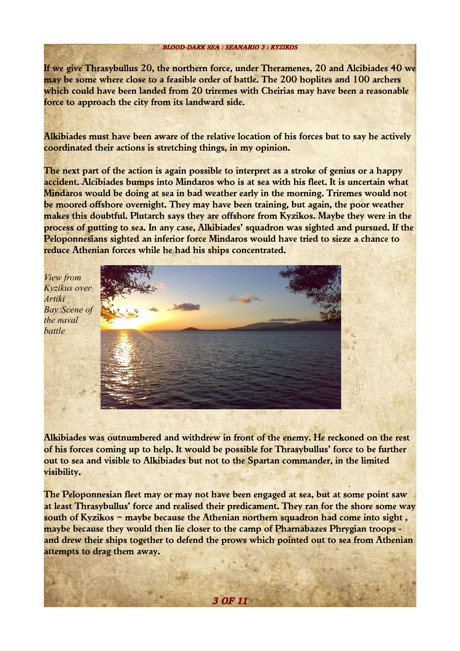If we give Thrasybullus 20, the northern force, under Theramenes, 20 and Alcibiades 40 we may be some where close to a feasible order of battle. The 200 hoplites and 100 archers which could have been landed from 20 triremes with Cheirias may have been a reasonable force to approach the city from its landward side.

Alkibiades must have been aware of the relative location of his forces but to say he actively coordinated their actions is stretching things, in my opinion.

The next part of the action is again possible to interpret as a stroke of genius or a happy accident. Alcibiades bumps into Mindaros who is at sea with his fleet. It is uncertain what Mindaros would be doing at sea in bad weather early in the morning. Triremes would not be moored offshore overnight. They may have been training, but again, the poor weather makes this doubtful. Plutarch says they are offshore from Kyzikos. Maybe they were in the process of putting to sea. In any case, Alkibiades' squadron was sighted and pursued. If the Peloponnesians sighted an inferior force Mindaros would have tried to sieze a chance to reduce Athenian forces while he had his ships concentrated.



Alkibiades was outnumbered and withdrew in front of the enemy. He reckoned on the rest of his forces coming up to help. It would be possible for Thrasybullus' force to be further out to sea and visible to Alkibiades but not to the Spartan commander, in the limited visibility.

The Peloponnesian fleet may or may not have been engaged at sea, but at some point saw at least Thrasybullus' force and realised their predicament. They ran for the shore some way south of Kyzikos – maybe because the Athenian northern squadron had come into sight , maybe because they would then lie closer to the camp of Pharnabazes Phrygian troops and drew their ships together to defend the prows which pointed out to sea from Athenian attempts to drag them away.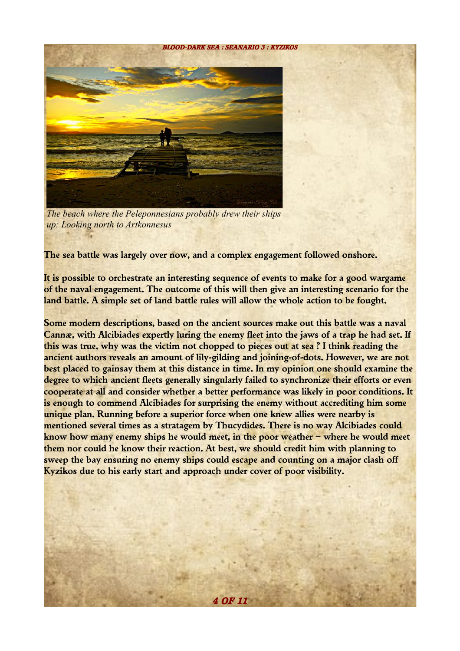

*The beach where the Peleponnesians probably drew their ships up: Looking north to Artkonnesus*

The sea battle was largely over now, and a complex engagement followed onshore.

It is possible to orchestrate an interesting sequence of events to make for a good wargame of the naval engagement. The outcome of this will then give an interesting scenario for the land battle. A simple set of land battle rules will allow the whole action to be fought.

Some modern descriptions, based on the ancient sources make out this battle was a naval Cannæ, with Alcibiades expertly luring the enemy fleet into the jaws of a trap he had set. If this was true, why was the victim not chopped to pieces out at sea ? I think reading the ancient authors reveals an amount of lily-gilding and joining-of-dots. However, we are not best placed to gainsay them at this distance in time. In my opinion one should examine the degree to which ancient fleets generally singularly failed to synchronize their efforts or even cooperate at all and consider whether a better performance was likely in poor conditions. It is enough to commend Alcibiades for surprising the enemy without accrediting him some unique plan. Running before a superior force when one knew allies were nearby is mentioned several times as a stratagem by Thucydides. There is no way Alcibiades could know how many enemy ships he would meet, in the poor weather – where he would meet them nor could he know their reaction. At best, we should credit him with planning to sweep the bay ensuring no enemy ships could escape and counting on a major clash off Kyzikos due to his early start and approach under cover of poor visibility.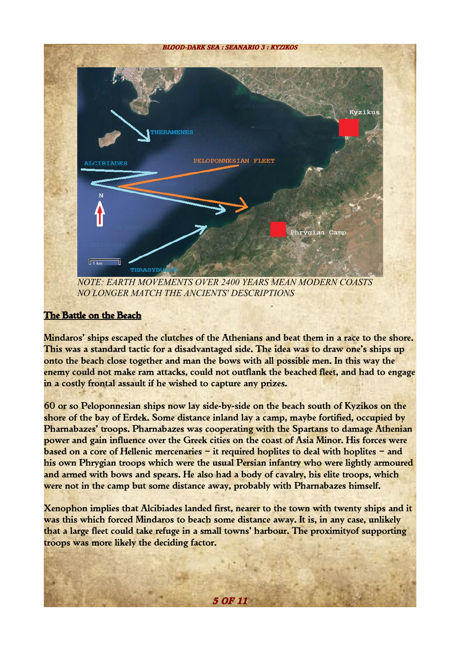

# The Battle on the Beach

Mindaros' ships escaped the clutches of the Athenians and beat them in a race to the shore. This was a standard tactic for a disadvantaged side. The idea was to draw one's ships up onto the beach close together and man the bows with all possible men. In this way the enemy could not make ram attacks, could not outflank the beached fleet, and had to engage in a costly frontal assault if he wished to capture any prizes.

60 or so Peloponnesian ships now lay side-by-side on the beach south of Kyzikos on the shore of the bay of Erdek. Some distance inland lay a camp, maybe fortified, occupied by Pharnabazes' troops. Pharnabazes was cooperating with the Spartans to damage Athenian power and gain influence over the Greek cities on the coast of Asia Minor. His forces were based on a core of Hellenic mercenaries – it required hoplites to deal with hoplites – and his own Phrygian troops which were the usual Persian infantry who were lightly armoured and armed with bows and spears. He also had a body of cavalry, his elite troops, which were not in the camp but some distance away, probably with Pharnabazes himself.

Xenophon implies that Alcibiades landed first, nearer to the town with twenty ships and it was this which forced Mindaros to beach some distance away. It is, in any case, unlikely that a large fleet could take refuge in a small towns' harbour. The proximityof supporting troops was more likely the deciding factor.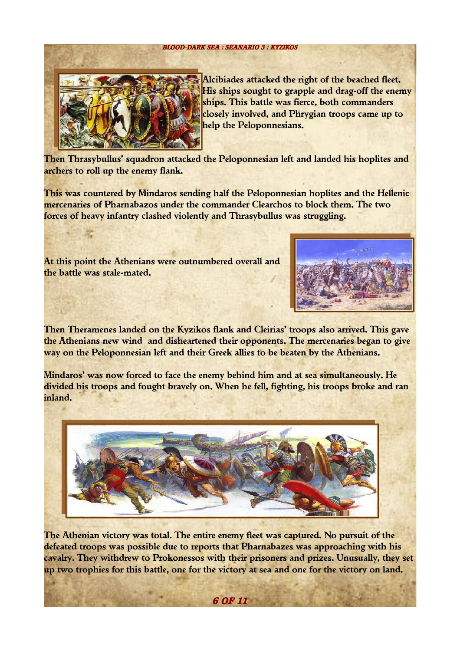#### **BLOOD-DARK SEA : SEANARIO 3 : KYZIKOS**



Alcibiades attacked the right of the beached fleet. His ships sought to grapple and drag-off the enemy ships. This battle was fierce, both commanders closely involved, and Phrygian troops came up to help the Peloponnesians.

Then Thrasybullus' squadron attacked the Peloponnesian left and landed his hoplites and archers to roll up the enemy flank.

This was countered by Mindaros sending half the Peloponnesian hoplites and the Hellenic mercenaries of Pharnabazos under the commander Clearchos to block them. The two forces of heavy infantry clashed violently and Thrasybullus was struggling.

At this point the Athenians were outnumbered overall and the battle was stale-mated.



Then Theramenes landed on the Kyzikos flank and Cleirias' troops also arrived. This gave the Athenians new wind and disheartened their opponents. The mercenaries began to give way on the Peloponnesian left and their Greek allies to be beaten by the Athenians.

Mindaros' was now forced to face the enemy behind him and at sea simultaneously. He divided his troops and fought bravely on. When he fell, fighting, his troops broke and ran inland.



The Athenian victory was total. The entire enemy fleet was captured. No pursuit of the defeated troops was possible due to reports that Pharnabazes was approaching with his cavalry. They withdrew to Prokonessos with their prisoners and prizes. Unusually, they set up two trophies for this battle, one for the victory at sea and one for the victory on land.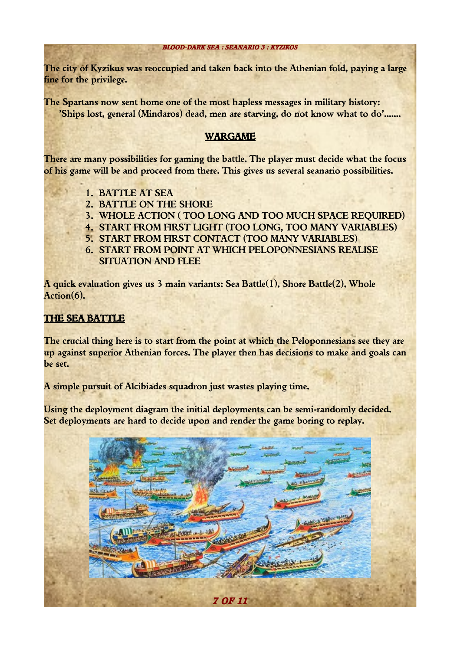The city of Kyzikus was reoccupied and taken back into the Athenian fold, paying a large fine for the privilege.

The Spartans now sent home one of the most hapless messages in military history: 'Ships lost, general (Mindaros) dead, men are starving, do not know what to do'.......

## WARGAME

There are many possibilities for gaming the battle. The player must decide what the focus of his game will be and proceed from there. This gives us several seanario possibilities.

- 1. BATTLE AT SEA
- 2. BATTLE ON THE SHORE
- 3. WHOLE ACTION ( TOO LONG AND TOO MUCH SPACE REQUIRED)
- 4. START FROM FIRST LIGHT (TOO LONG, TOO MANY VARIABLES)
- 5. START FROM FIRST CONTACT (TOO MANY VARIABLES)
- 6. START FROM POINT AT WHICH PELOPONNESIANS REALISE SITUATION AND FLEE

A quick evaluation gives us 3 main variants: Sea Battle(1), Shore Battle(2), Whole Action(6).

# THE SEA BATTLE

The crucial thing here is to start from the point at which the Peloponnesians see they are up against superior Athenian forces. The player then has decisions to make and goals can be set.

A simple pursuit of Alcibiades squadron just wastes playing time.

Using the deployment diagram the initial deployments can be semi-randomly decided. Set deployments are hard to decide upon and render the game boring to replay.

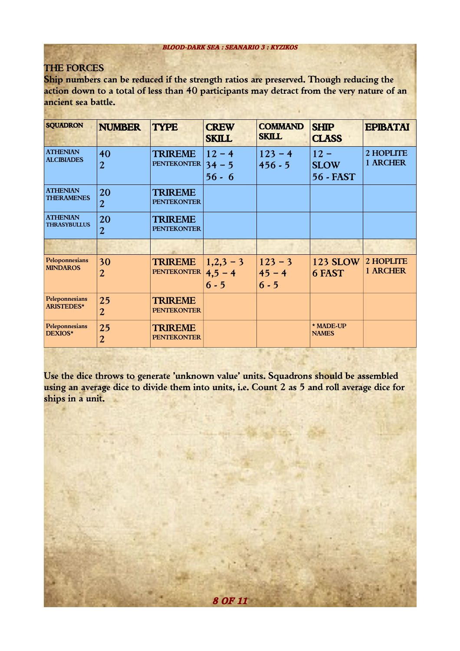## THE FORCES

Ship numbers can be reduced if the strength ratios are preserved. Though reducing the action down to a total of less than 40 participants may detract from the very nature of an ancient sea battle.

| <b>SQUADRON</b>                        | <b>NUMBER</b>                             | <b>TYPE</b>                          | <b>CREW</b><br><b>SKILL</b>       | <b>COMMAND</b><br><b>SKILL</b>   | <b>SHIP</b><br><b>CLASS</b>          | <b>EPIBATAI</b>       |
|----------------------------------------|-------------------------------------------|--------------------------------------|-----------------------------------|----------------------------------|--------------------------------------|-----------------------|
| <b>ATHENIAN</b><br><b>ALCIBIADES</b>   | 40<br>$\overline{2}$                      | <b>TRIREME</b><br><b>PENTEKONTER</b> | $12 - 4$<br>$34 - 5$<br>$56 - 6$  | $123 - 4$<br>$456 - 5$           | $12 -$<br><b>SLOW</b><br>56 - FAST   | 2 HOPLITE<br>1 ARCHER |
| <b>ATHENIAN</b><br><b>THERAMENES</b>   | 20<br>$\overline{2}$                      | <b>TRIREME</b><br><b>PENTEKONTER</b> |                                   |                                  |                                      |                       |
| <b>ATHENIAN</b><br><b>THRASYBULLUS</b> | 20<br>$\overline{2}$                      | TRIREME<br><b>PENTEKONTER</b>        |                                   |                                  |                                      |                       |
|                                        |                                           |                                      |                                   |                                  |                                      |                       |
| Peloponnesians<br><b>MINDAROS</b>      | 30<br>$\overline{2}$                      | <b>TRIREME</b><br><b>PENTEKONTER</b> | $1,2,3-3$<br>$4,5 - 4$<br>$6 - 5$ | $123 - 3$<br>$45 - 4$<br>$6 - 5$ | <b>123 SLOW</b><br>6 FAST            | 2 HOPLITE<br>1 ARCHER |
| Peleponnesians<br><b>ARISTEDES*</b>    | 25<br>$\boldsymbol{2}$                    | <b>TRIREME</b><br><b>PENTEKONTER</b> |                                   |                                  |                                      |                       |
| Peleponnesians<br>DEXIOS*              | 25<br>$\overline{2}$<br><b>STATISTICS</b> | <b>TRIREME</b><br><b>PENTEKONTER</b> |                                   |                                  | * MADE-UP<br><b>NAMES</b><br>and the |                       |

Use the dice throws to generate 'unknown value' units. Squadrons should be assembled using an average dice to divide them into units, i.e. Count 2 as 5 and roll average dice for ships in a unit.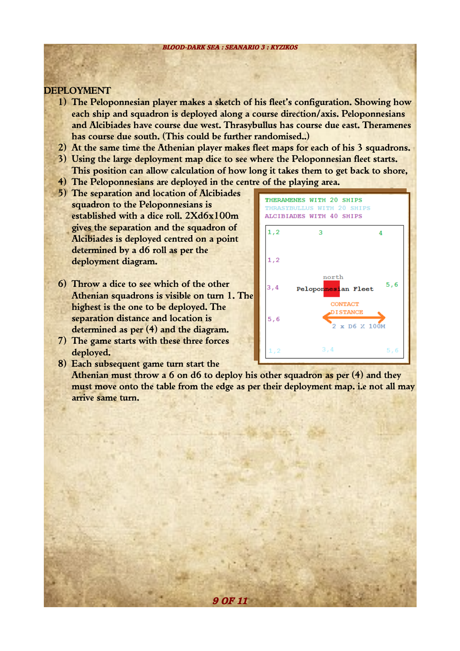### DEPLOYMENT

- 1) The Peloponnesian player makes a sketch of his fleet's configuration. Showing how each ship and squadron is deployed along a course direction/axis. Peloponnesians and Alcibiades have course due west. Thrasybullus has course due east. Theramenes has course due south. (This could be further randomised..)
- 2) At the same time the Athenian player makes fleet maps for each of his 3 squadrons.
- 3) Using the large deployment map dice to see where the Peloponnesian fleet starts. This position can allow calculation of how long it takes them to get back to shore,
- 4) The Peloponnesians are deployed in the centre of the playing area.
- 5) The separation and location of Alcibiades squadron to the Peloponnesians is established with a dice roll. 2Xd6x100m gives the separation and the squadron of Alcibiades is deployed centred on a point determined by a d6 roll as per the deployment diagram.
- 6) Throw a dice to see which of the other Athenian squadrons is visible on turn 1. The highest is the one to be deployed. The separation distance and location is determined as per (4) and the diagram.
- 7) The game starts with these three forces deployed.
- 8) Each subsequent game turn start the

Athenian must throw a  $6$  on  $d6$  to deploy his other squadron as per  $(4)$  and they must move onto the table from the edge as per their deployment map. i.e not all may arrive same turn.

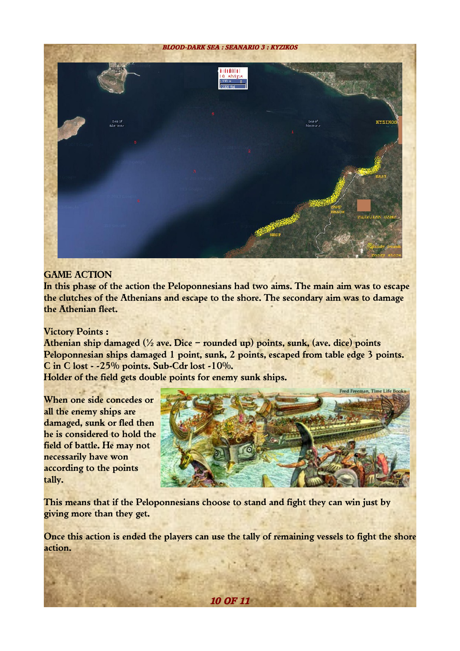

# GAME ACTION

In this phase of the action the Peloponnesians had two aims. The main aim was to escape the clutches of the Athenians and escape to the shore. The secondary aim was to damage the Athenian fleet.

#### Victory Points :

Athenian ship damaged ( $\frac{1}{2}$  ave. Dice – rounded up) points, sunk, (ave. dice) points Peloponnesian ships damaged 1 point, sunk, 2 points, escaped from table edge 3 points. C in C lost - -25% points. Sub-Cdr lost -10%.

Holder of the field gets double points for enemy sunk ships.

When one side concedes or all the enemy ships are damaged, sunk or fled then he is considered to hold the field of battle. He may not necessarily have won according to the points tally.



This means that if the Peloponnesians choose to stand and fight they can win just by giving more than they get.

Once this action is ended the players can use the tally of remaining vessels to fight the shore action.